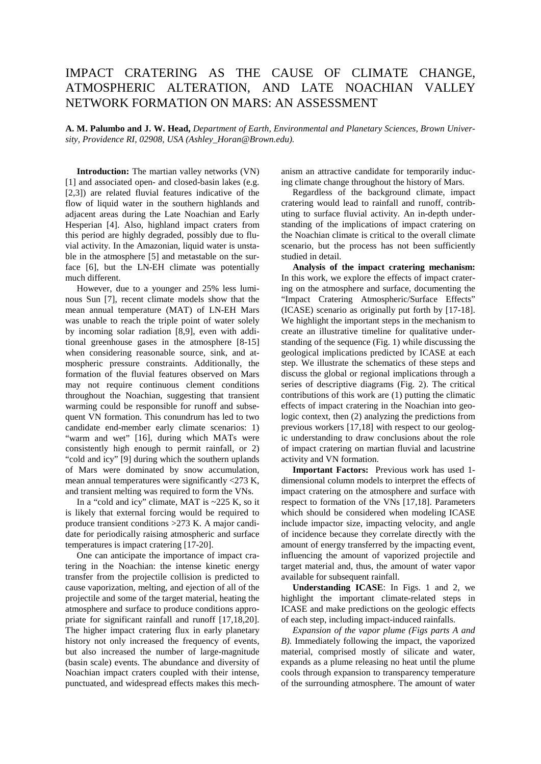## IMPACT CRATERING AS THE CAUSE OF CLIMATE CHANGE, ATMOSPHERIC ALTERATION, AND LATE NOACHIAN VALLEY NETWORK FORMATION ON MARS: AN ASSESSMENT

**A. M. Palumbo and J. W. Head,** *Department of Earth, Environmental and Planetary Sciences, Brown University, Providence RI, 02908, USA (Ashley\_Horan@Brown.edu).*

 **Introduction:** The martian valley networks (VN) [1] and associated open- and closed-basin lakes (e.g. [2,3]) are related fluvial features indicative of the flow of liquid water in the southern highlands and adjacent areas during the Late Noachian and Early Hesperian [4]. Also, highland impact craters from this period are highly degraded, possibly due to fluvial activity. In the Amazonian, liquid water is unstable in the atmosphere [5] and metastable on the surface [6], but the LN-EH climate was potentially much different.

 However, due to a younger and 25% less luminous Sun [7], recent climate models show that the mean annual temperature (MAT) of LN-EH Mars was unable to reach the triple point of water solely by incoming solar radiation [8,9], even with additional greenhouse gases in the atmosphere [8-15] when considering reasonable source, sink, and atmospheric pressure constraints. Additionally, the formation of the fluvial features observed on Mars may not require continuous clement conditions throughout the Noachian, suggesting that transient warming could be responsible for runoff and subsequent VN formation. This conundrum has led to two candidate end-member early climate scenarios: 1) "warm and wet" [16], during which MATs were consistently high enough to permit rainfall, or 2) "cold and icy" [9] during which the southern uplands of Mars were dominated by snow accumulation, mean annual temperatures were significantly <273 K, and transient melting was required to form the VNs.

In a "cold and icy" climate, MAT is  $\sim$ 225 K, so it is likely that external forcing would be required to produce transient conditions >273 K. A major candidate for periodically raising atmospheric and surface temperatures is impact cratering [17-20].

 One can anticipate the importance of impact cratering in the Noachian: the intense kinetic energy transfer from the projectile collision is predicted to cause vaporization, melting, and ejection of all of the projectile and some of the target material, heating the atmosphere and surface to produce conditions appropriate for significant rainfall and runoff [17,18,20]. The higher impact cratering flux in early planetary history not only increased the frequency of events, but also increased the number of large-magnitude (basin scale) events. The abundance and diversity of Noachian impact craters coupled with their intense, punctuated, and widespread effects makes this mechanism an attractive candidate for temporarily inducing climate change throughout the history of Mars.

 Regardless of the background climate, impact cratering would lead to rainfall and runoff, contributing to surface fluvial activity. An in-depth understanding of the implications of impact cratering on the Noachian climate is critical to the overall climate scenario, but the process has not been sufficiently studied in detail.

 **Analysis of the impact cratering mechanism:** In this work, we explore the effects of impact cratering on the atmosphere and surface, documenting the "Impact Cratering Atmospheric/Surface Effects" (ICASE) scenario as originally put forth by [17-18]. We highlight the important steps in the mechanism to create an illustrative timeline for qualitative understanding of the sequence (Fig. 1) while discussing the geological implications predicted by ICASE at each step. We illustrate the schematics of these steps and discuss the global or regional implications through a series of descriptive diagrams (Fig. 2). The critical contributions of this work are (1) putting the climatic effects of impact cratering in the Noachian into geologic context, then (2) analyzing the predictions from previous workers [17,18] with respect to our geologic understanding to draw conclusions about the role of impact cratering on martian fluvial and lacustrine activity and VN formation.

 **Important Factors:** Previous work has used 1 dimensional column models to interpret the effects of impact cratering on the atmosphere and surface with respect to formation of the VNs [17,18]. Parameters which should be considered when modeling ICASE include impactor size, impacting velocity, and angle of incidence because they correlate directly with the amount of energy transferred by the impacting event, influencing the amount of vaporized projectile and target material and, thus, the amount of water vapor available for subsequent rainfall.

 **Understanding ICASE**: In Figs. 1 and 2, we highlight the important climate-related steps in ICASE and make predictions on the geologic effects of each step, including impact-induced rainfalls.

 *Expansion of the vapor plume (Figs parts A and B).* Immediately following the impact, the vaporized material, comprised mostly of silicate and water, expands as a plume releasing no heat until the plume cools through expansion to transparency temperature of the surrounding atmosphere. The amount of water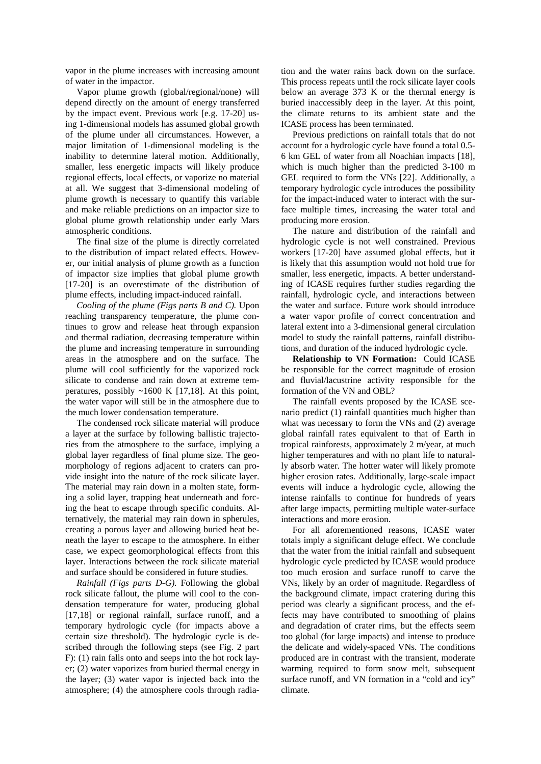vapor in the plume increases with increasing amount of water in the impactor.

 Vapor plume growth (global/regional/none) will depend directly on the amount of energy transferred by the impact event. Previous work [e.g. 17-20] using 1-dimensional models has assumed global growth of the plume under all circumstances. However, a major limitation of 1-dimensional modeling is the inability to determine lateral motion. Additionally, smaller, less energetic impacts will likely produce regional effects, local effects, or vaporize no material at all. We suggest that 3-dimensional modeling of plume growth is necessary to quantify this variable and make reliable predictions on an impactor size to global plume growth relationship under early Mars atmospheric conditions.

 The final size of the plume is directly correlated to the distribution of impact related effects. However, our initial analysis of plume growth as a function of impactor size implies that global plume growth [17-20] is an overestimate of the distribution of plume effects, including impact-induced rainfall.

 *Cooling of the plume (Figs parts B and C).* Upon reaching transparency temperature, the plume continues to grow and release heat through expansion and thermal radiation, decreasing temperature within the plume and increasing temperature in surrounding areas in the atmosphere and on the surface. The plume will cool sufficiently for the vaporized rock silicate to condense and rain down at extreme temperatures, possibly ~1600 K [17,18]. At this point, the water vapor will still be in the atmosphere due to the much lower condensation temperature.

 The condensed rock silicate material will produce a layer at the surface by following ballistic trajectories from the atmosphere to the surface, implying a global layer regardless of final plume size. The geomorphology of regions adjacent to craters can provide insight into the nature of the rock silicate layer. The material may rain down in a molten state, forming a solid layer, trapping heat underneath and forcing the heat to escape through specific conduits. Alternatively, the material may rain down in spherules, creating a porous layer and allowing buried heat beneath the layer to escape to the atmosphere. In either case, we expect geomorphological effects from this layer. Interactions between the rock silicate material and surface should be considered in future studies.

 *Rainfall (Figs parts D-G).* Following the global rock silicate fallout, the plume will cool to the condensation temperature for water, producing global [17,18] or regional rainfall, surface runoff, and a temporary hydrologic cycle (for impacts above a certain size threshold). The hydrologic cycle is described through the following steps (see Fig. 2 part F): (1) rain falls onto and seeps into the hot rock layer; (2) water vaporizes from buried thermal energy in the layer; (3) water vapor is injected back into the atmosphere; (4) the atmosphere cools through radiation and the water rains back down on the surface. This process repeats until the rock silicate layer cools below an average 373 K or the thermal energy is buried inaccessibly deep in the layer. At this point, the climate returns to its ambient state and the ICASE process has been terminated.

 Previous predictions on rainfall totals that do not account for a hydrologic cycle have found a total 0.5- 6 km GEL of water from all Noachian impacts [18], which is much higher than the predicted 3-100 m GEL required to form the VNs [22]. Additionally, a temporary hydrologic cycle introduces the possibility for the impact-induced water to interact with the surface multiple times, increasing the water total and producing more erosion.

 The nature and distribution of the rainfall and hydrologic cycle is not well constrained. Previous workers [17-20] have assumed global effects, but it is likely that this assumption would not hold true for smaller, less energetic, impacts. A better understanding of ICASE requires further studies regarding the rainfall, hydrologic cycle, and interactions between the water and surface. Future work should introduce a water vapor profile of correct concentration and lateral extent into a 3-dimensional general circulation model to study the rainfall patterns, rainfall distributions, and duration of the induced hydrologic cycle.

 **Relationship to VN Formation:** Could ICASE be responsible for the correct magnitude of erosion and fluvial/lacustrine activity responsible for the formation of the VN and OBL?

 The rainfall events proposed by the ICASE scenario predict (1) rainfall quantities much higher than what was necessary to form the VNs and (2) average global rainfall rates equivalent to that of Earth in tropical rainforests, approximately 2 m/year, at much higher temperatures and with no plant life to naturally absorb water. The hotter water will likely promote higher erosion rates. Additionally, large-scale impact events will induce a hydrologic cycle, allowing the intense rainfalls to continue for hundreds of years after large impacts, permitting multiple water-surface interactions and more erosion.

 For all aforementioned reasons, ICASE water totals imply a significant deluge effect. We conclude that the water from the initial rainfall and subsequent hydrologic cycle predicted by ICASE would produce too much erosion and surface runoff to carve the VNs, likely by an order of magnitude. Regardless of the background climate, impact cratering during this period was clearly a significant process, and the effects may have contributed to smoothing of plains and degradation of crater rims, but the effects seem too global (for large impacts) and intense to produce the delicate and widely-spaced VNs. The conditions produced are in contrast with the transient, moderate warming required to form snow melt, subsequent surface runoff, and VN formation in a "cold and icy" climate.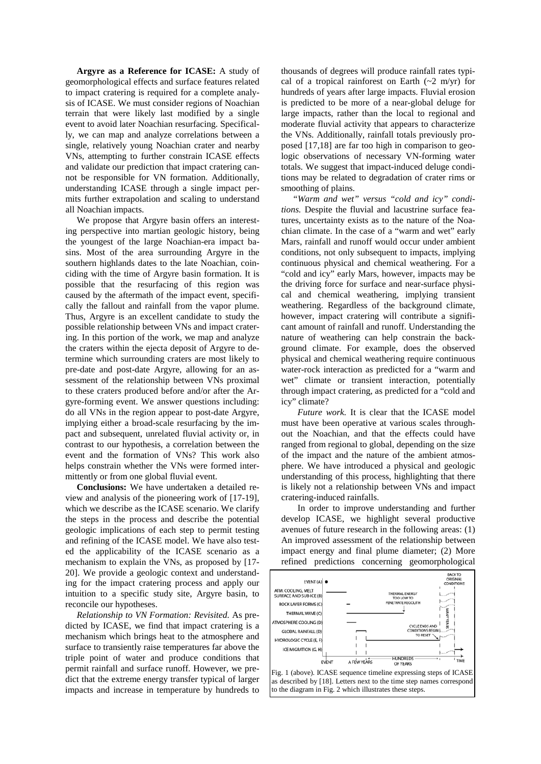**Argyre as a Reference for ICASE:** A study of geomorphological effects and surface features related to impact cratering is required for a complete analysis of ICASE. We must consider regions of Noachian terrain that were likely last modified by a single event to avoid later Noachian resurfacing. Specifically, we can map and analyze correlations between a single, relatively young Noachian crater and nearby VNs, attempting to further constrain ICASE effects and validate our prediction that impact cratering cannot be responsible for VN formation. Additionally, understanding ICASE through a single impact permits further extrapolation and scaling to understand all Noachian impacts.

 We propose that Argyre basin offers an interesting perspective into martian geologic history, being the youngest of the large Noachian-era impact basins. Most of the area surrounding Argyre in the southern highlands dates to the late Noachian, coinciding with the time of Argyre basin formation. It is possible that the resurfacing of this region was caused by the aftermath of the impact event, specifically the fallout and rainfall from the vapor plume. Thus, Argyre is an excellent candidate to study the possible relationship between VNs and impact cratering. In this portion of the work, we map and analyze the craters within the ejecta deposit of Argyre to determine which surrounding craters are most likely to pre-date and post-date Argyre, allowing for an assessment of the relationship between VNs proximal to these craters produced before and/or after the Argyre-forming event. We answer questions including: do all VNs in the region appear to post-date Argyre, implying either a broad-scale resurfacing by the impact and subsequent, unrelated fluvial activity or, in contrast to our hypothesis, a correlation between the event and the formation of VNs? This work also helps constrain whether the VNs were formed intermittently or from one global fluvial event.

 **Conclusions:** We have undertaken a detailed review and analysis of the pioneering work of [17-19], which we describe as the ICASE scenario. We clarify the steps in the process and describe the potential geologic implications of each step to permit testing and refining of the ICASE model. We have also tested the applicability of the ICASE scenario as a mechanism to explain the VNs, as proposed by [17- 20]. We provide a geologic context and understanding for the impact cratering process and apply our intuition to a specific study site, Argyre basin, to reconcile our hypotheses.

 *Relationship to VN Formation: Revisited.* As predicted by ICASE, we find that impact cratering is a mechanism which brings heat to the atmosphere and surface to transiently raise temperatures far above the triple point of water and produce conditions that permit rainfall and surface runoff. However, we predict that the extreme energy transfer typical of larger impacts and increase in temperature by hundreds to

thousands of degrees will produce rainfall rates typical of a tropical rainforest on Earth  $(-2 \text{ m/yr})$  for hundreds of years after large impacts. Fluvial erosion is predicted to be more of a near-global deluge for large impacts, rather than the local to regional and moderate fluvial activity that appears to characterize the VNs. Additionally, rainfall totals previously proposed [17,18] are far too high in comparison to geologic observations of necessary VN-forming water totals. We suggest that impact-induced deluge conditions may be related to degradation of crater rims or smoothing of plains.

 *"Warm and wet" versus "cold and icy" conditions.* Despite the fluvial and lacustrine surface features, uncertainty exists as to the nature of the Noachian climate. In the case of a "warm and wet" early Mars, rainfall and runoff would occur under ambient conditions, not only subsequent to impacts, implying continuous physical and chemical weathering. For a "cold and icy" early Mars, however, impacts may be the driving force for surface and near-surface physical and chemical weathering, implying transient weathering. Regardless of the background climate, however, impact cratering will contribute a significant amount of rainfall and runoff. Understanding the nature of weathering can help constrain the background climate. For example, does the observed physical and chemical weathering require continuous water-rock interaction as predicted for a "warm and wet" climate or transient interaction, potentially through impact cratering, as predicted for a "cold and icy" climate?

*Future work.* It is clear that the ICASE model must have been operative at various scales throughout the Noachian, and that the effects could have ranged from regional to global, depending on the size of the impact and the nature of the ambient atmosphere. We have introduced a physical and geologic understanding of this process, highlighting that there is likely not a relationship between VNs and impact cratering-induced rainfalls.

In order to improve understanding and further develop ICASE, we highlight several productive avenues of future research in the following areas: (1) An improved assessment of the relationship between impact energy and final plume diameter; (2) More refined predictions concerning geomorphological